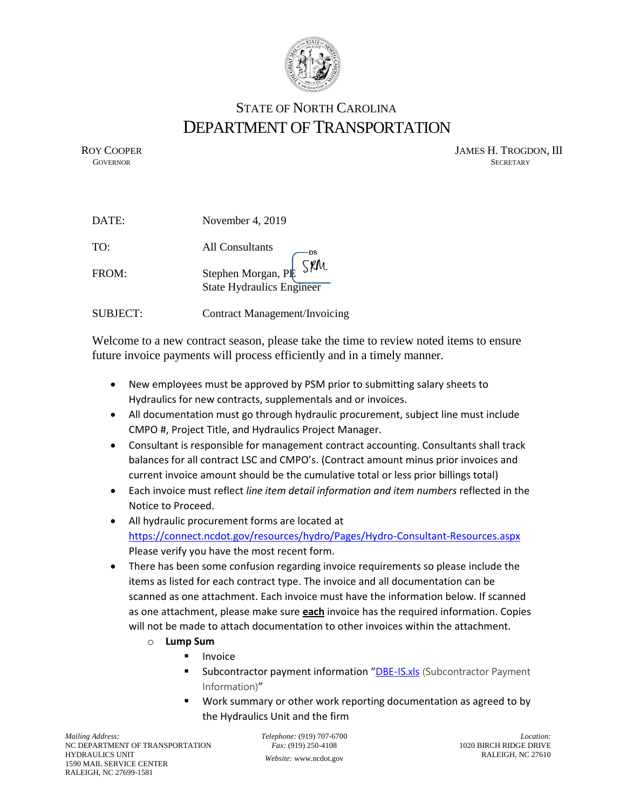

## STATE OF NORTH CAROLINA DEPARTMENT OF TRANSPORTATION

ROY COOPER JAMES H. TROGDON, III GOVERNOR SECRETARY SECRETARY **GOVERNOR** SECRETARY

| DATE:           | November 4, 2019                                                                                                    |
|-----------------|---------------------------------------------------------------------------------------------------------------------|
| TO:             | All Consultants                                                                                                     |
| FROM:           | $\overline{\mathsf{S}}$ $\overline{\mathsf{R}}\mathsf{M}$<br>Stephen Morgan, PR<br><b>State Hydraulics Engineer</b> |
| <b>SUBJECT:</b> | <b>Contract Management/Invoicing</b>                                                                                |

Welcome to a new contract season, please take the time to review noted items to ensure future invoice payments will process efficiently and in a timely manner.

- New employees must be approved by PSM prior to submitting salary sheets to Hydraulics for new contracts, supplementals and or invoices.
- All documentation must go through hydraulic procurement, subject line must include CMPO #, Project Title, and Hydraulics Project Manager.
- Consultant is responsible for management contract accounting. Consultants shall track balances for all contract LSC and CMPO's. (Contract amount minus prior invoices and current invoice amount should be the cumulative total or less prior billings total)
- Each invoice must reflect *line item detail information and item numbers* reflected in the Notice to Proceed.
- All hydraulic procurement forms are located at <https://connect.ncdot.gov/resources/hydro/Pages/Hydro-Consultant-Resources.aspx> Please verify you have the most recent form.
- There has been some confusion regarding invoice requirements so please include the items as listed for each contract type. The invoice and all documentation can be scanned as one attachment. Each invoice must have the information below. If scanned as one attachment, please make sure **each** invoice has the required information. Copies will not be made to attach documentation to other invoices within the attachment.
	- o **Lump Sum**
		- **Invoice**
		- Subcontractor payment information "[DBE-IS.xls](https://connect.ncdot.gov/business/consultants/Roadway/DBE-IS.xls) (Subcontractor Payment Information)"
		- Work summary or other work reporting documentation as agreed to by the Hydraulics Unit and the firm

*Telephone:* (919) 707-6700 *Fax:* (919) 250-4108 *Website:* [www.ncdot.gov](http://www.ncdot.gov/)